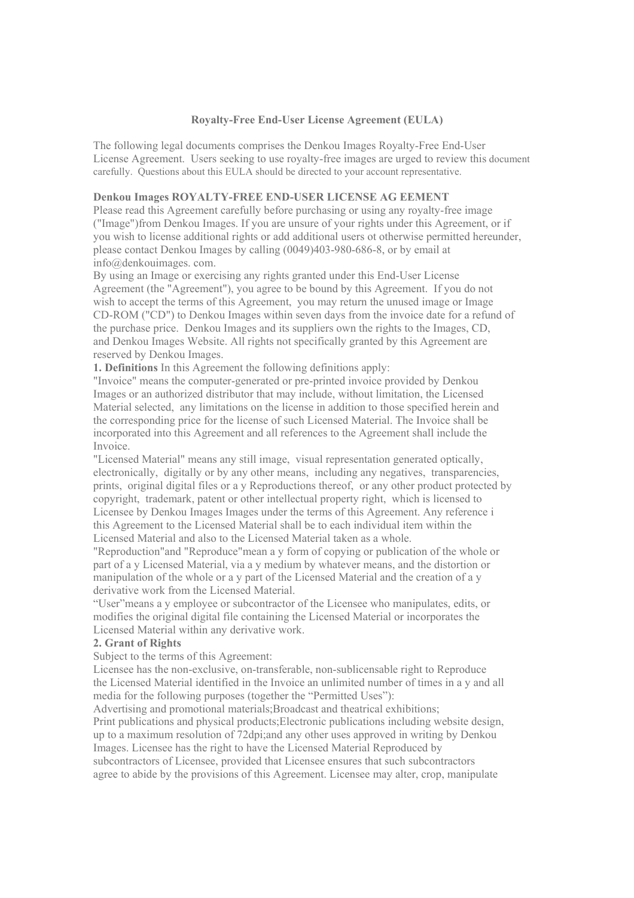#### **Royalty-Free End-User License Agreement (EULA)**

The following legal documents comprises the Denkou Images Royalty-Free End-User License Agreement. Users seeking to use royalty-free images are urged to review this document carefully. Questions about this EULA should be directed to your account representative.

# **Denkou Images ROYALTY-FREE END-USER LICENSE AG EEMENT**

Please read this Agreement carefully before purchasing or using any royalty-free image ("Image")from Denkou Images. If you are unsure of your rights under this Agreement, or if you wish to license additional rights or add additional users ot otherwise permitted hereunder, please contact Denkou Images by calling (0049)403-980-686-8, or by email at info@denkouimages. com.

By using an Image or exercising any rights granted under this End-User License Agreement (the "Agreement"), you agree to be bound by this Agreement. If you do not wish to accept the terms of this Agreement, you may return the unused image or Image CD-ROM ("CD") to Denkou Images within seven days from the invoice date for a refund of the purchase price. Denkou Images and its suppliers own the rights to the Images, CD, and Denkou Images Website. All rights not specifically granted by this Agreement are reserved by Denkou Images.

**1. Definitions** In this Agreement the following definitions apply:

"Invoice" means the computer-generated or pre-printed invoice provided by Denkou Images or an authorized distributor that may include, without limitation, the Licensed Material selected, any limitations on the license in addition to those specified herein and the corresponding price for the license of such Licensed Material. The Invoice shall be incorporated into this Agreement and all references to the Agreement shall include the Invoice.

"Licensed Material" means any still image, visual representation generated optically, electronically, digitally or by any other means, including any negatives, transparencies, prints, original digital files or a y Reproductions thereof, or any other product protected by copyright, trademark, patent or other intellectual property right, which is licensed to Licensee by Denkou Images Images under the terms of this Agreement. Any reference i this Agreement to the Licensed Material shall be to each individual item within the Licensed Material and also to the Licensed Material taken as a whole.

"Reproduction"and "Reproduce"mean a y form of copying or publication of the whole or part of a y Licensed Material, via a y medium by whatever means, and the distortion or manipulation of the whole or a y part of the Licensed Material and the creation of a y derivative work from the Licensed Material.

"User"means a y employee or subcontractor of the Licensee who manipulates, edits, or modifies the original digital file containing the Licensed Material or incorporates the Licensed Material within any derivative work.

#### **2. Grant of Rights**

Subject to the terms of this Agreement:

Licensee has the non-exclusive, on-transferable, non-sublicensable right to Reproduce the Licensed Material identified in the Invoice an unlimited number of times in a y and all media for the following purposes (together the "Permitted Uses"):

Advertising and promotional materials;Broadcast and theatrical exhibitions; Print publications and physical products;Electronic publications including website design, up to a maximum resolution of 72dpi;and any other uses approved in writing by Denkou Images. Licensee has the right to have the Licensed Material Reproduced by subcontractors of Licensee, provided that Licensee ensures that such subcontractors agree to abide by the provisions of this Agreement. Licensee may alter, crop, manipulate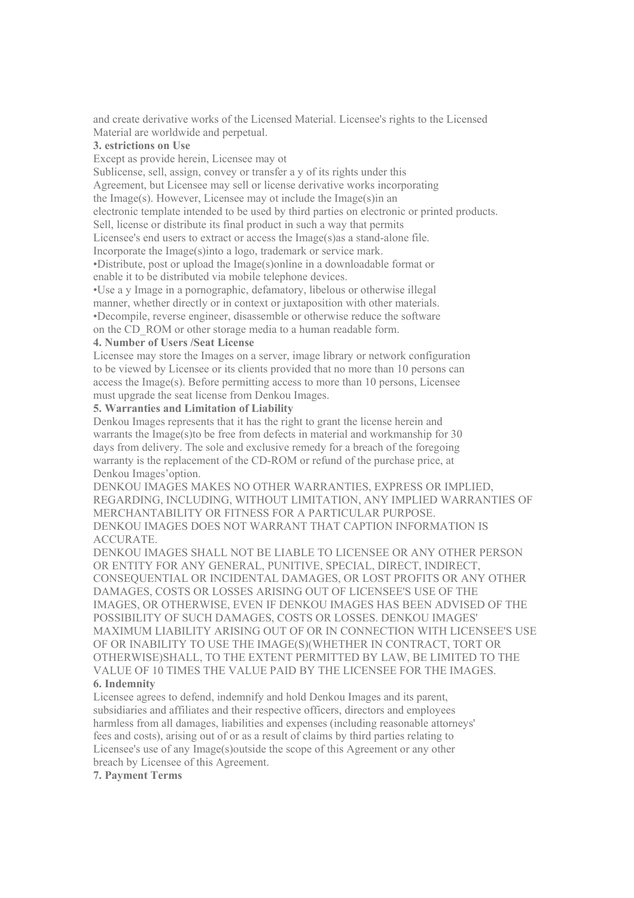and create derivative works of the Licensed Material. Licensee's rights to the Licensed Material are worldwide and perpetual.

### **3. estrictions on Use**

Except as provide herein, Licensee may ot

Sublicense, sell, assign, convey or transfer a y of its rights under this

Agreement, but Licensee may sell or license derivative works incorporating

the Image(s). However, Licensee may ot include the Image(s)in an

electronic template intended to be used by third parties on electronic or printed products.

Sell, license or distribute its final product in such a way that permits

Licensee's end users to extract or access the Image(s)as a stand-alone file.

Incorporate the Image(s)into a logo, trademark or service mark.

•Distribute, post or upload the Image(s)online in a downloadable format or enable it to be distributed via mobile telephone devices.

•Use a y Image in a pornographic, defamatory, libelous or otherwise illegal

manner, whether directly or in context or juxtaposition with other materials.

•Decompile, reverse engineer, disassemble or otherwise reduce the software

on the CD\_ROM or other storage media to a human readable form.

# **4. Number of Users /Seat License**

Licensee may store the Images on a server, image library or network configuration to be viewed by Licensee or its clients provided that no more than 10 persons can access the Image(s). Before permitting access to more than 10 persons, Licensee must upgrade the seat license from Denkou Images.

# **5. Warranties and Limitation of Liability**

Denkou Images represents that it has the right to grant the license herein and warrants the Image(s)to be free from defects in material and workmanship for 30 days from delivery. The sole and exclusive remedy for a breach of the foregoing warranty is the replacement of the CD-ROM or refund of the purchase price, at Denkou Images'option.

DENKOU IMAGES MAKES NO OTHER WARRANTIES, EXPRESS OR IMPLIED, REGARDING, INCLUDING, WITHOUT LIMITATION, ANY IMPLIED WARRANTIES OF MERCHANTABILITY OR FITNESS FOR A PARTICULAR PURPOSE. DENKOU IMAGES DOES NOT WARRANT THAT CAPTION INFORMATION IS ACCURATE.

DENKOU IMAGES SHALL NOT BE LIABLE TO LICENSEE OR ANY OTHER PERSON OR ENTITY FOR ANY GENERAL, PUNITIVE, SPECIAL, DIRECT, INDIRECT, CONSEQUENTIAL OR INCIDENTAL DAMAGES, OR LOST PROFITS OR ANY OTHER DAMAGES, COSTS OR LOSSES ARISING OUT OF LICENSEE'S USE OF THE IMAGES, OR OTHERWISE, EVEN IF DENKOU IMAGES HAS BEEN ADVISED OF THE POSSIBILITY OF SUCH DAMAGES, COSTS OR LOSSES. DENKOU IMAGES' MAXIMUM LIABILITY ARISING OUT OF OR IN CONNECTION WITH LICENSEE'S USE OF OR INABILITY TO USE THE IMAGE(S)(WHETHER IN CONTRACT, TORT OR OTHERWISE)SHALL, TO THE EXTENT PERMITTED BY LAW, BE LIMITED TO THE VALUE OF 10 TIMES THE VALUE PAID BY THE LICENSEE FOR THE IMAGES. **6. Indemnity** 

# Licensee agrees to defend, indemnify and hold Denkou Images and its parent, subsidiaries and affiliates and their respective officers, directors and employees harmless from all damages, liabilities and expenses (including reasonable attorneys' fees and costs), arising out of or as a result of claims by third parties relating to Licensee's use of any Image(s)outside the scope of this Agreement or any other breach by Licensee of this Agreement.

#### **7. Payment Terms**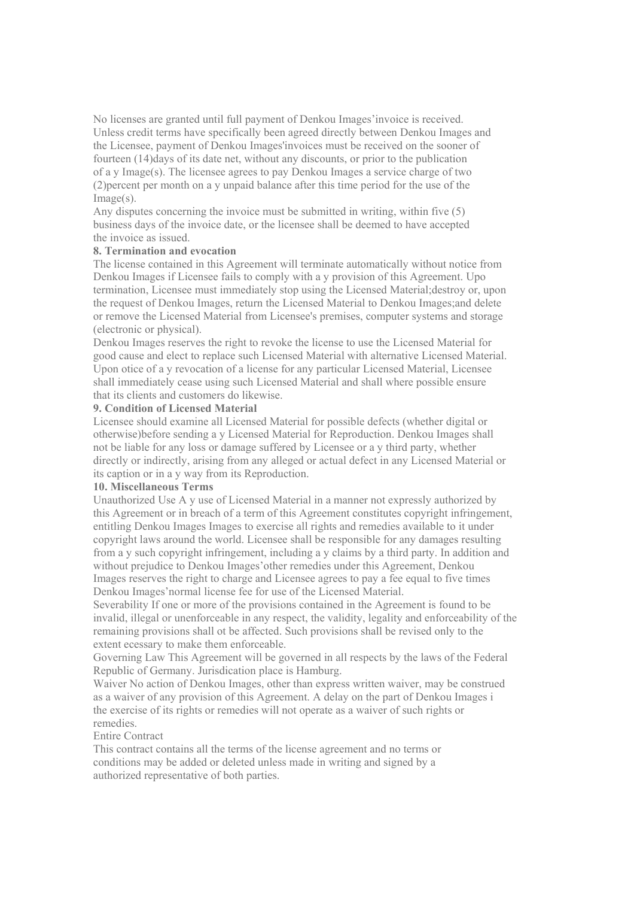No licenses are granted until full payment of Denkou Images'invoice is received. Unless credit terms have specifically been agreed directly between Denkou Images and the Licensee, payment of Denkou Images'invoices must be received on the sooner of fourteen (14)days of its date net, without any discounts, or prior to the publication of a y Image(s). The licensee agrees to pay Denkou Images a service charge of two (2)percent per month on a y unpaid balance after this time period for the use of the Image(s).

Any disputes concerning the invoice must be submitted in writing, within five (5) business days of the invoice date, or the licensee shall be deemed to have accepted the invoice as issued.

## **8. Termination and evocation**

The license contained in this Agreement will terminate automatically without notice from Denkou Images if Licensee fails to comply with a y provision of this Agreement. Upo termination, Licensee must immediately stop using the Licensed Material;destroy or, upon the request of Denkou Images, return the Licensed Material to Denkou Images;and delete or remove the Licensed Material from Licensee's premises, computer systems and storage (electronic or physical).

Denkou Images reserves the right to revoke the license to use the Licensed Material for good cause and elect to replace such Licensed Material with alternative Licensed Material. Upon otice of a y revocation of a license for any particular Licensed Material, Licensee shall immediately cease using such Licensed Material and shall where possible ensure that its clients and customers do likewise.

### **9. Condition of Licensed Material**

Licensee should examine all Licensed Material for possible defects (whether digital or otherwise)before sending a y Licensed Material for Reproduction. Denkou Images shall not be liable for any loss or damage suffered by Licensee or a y third party, whether directly or indirectly, arising from any alleged or actual defect in any Licensed Material or its caption or in a y way from its Reproduction.

### **10. Miscellaneous Terms**

Unauthorized Use A y use of Licensed Material in a manner not expressly authorized by this Agreement or in breach of a term of this Agreement constitutes copyright infringement, entitling Denkou Images Images to exercise all rights and remedies available to it under copyright laws around the world. Licensee shall be responsible for any damages resulting from a y such copyright infringement, including a y claims by a third party. In addition and without prejudice to Denkou Images'other remedies under this Agreement, Denkou Images reserves the right to charge and Licensee agrees to pay a fee equal to five times Denkou Images'normal license fee for use of the Licensed Material.

Severability If one or more of the provisions contained in the Agreement is found to be invalid, illegal or unenforceable in any respect, the validity, legality and enforceability of the remaining provisions shall ot be affected. Such provisions shall be revised only to the extent ecessary to make them enforceable.

Governing Law This Agreement will be governed in all respects by the laws of the Federal Republic of Germany. Jurisdication place is Hamburg.

Waiver No action of Denkou Images, other than express written waiver, may be construed as a waiver of any provision of this Agreement. A delay on the part of Denkou Images i the exercise of its rights or remedies will not operate as a waiver of such rights or remedies.

#### Entire Contract

This contract contains all the terms of the license agreement and no terms or conditions may be added or deleted unless made in writing and signed by a authorized representative of both parties.